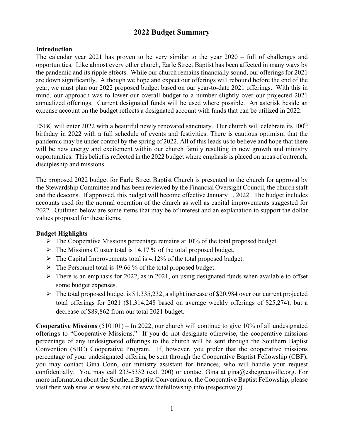# **2022 Budget Summary**

### **Introduction**

The calendar year 2021 has proven to be very similar to the year 2020 – full of challenges and opportunities. Like almost every other church, Earle Street Baptist has been affected in many ways by the pandemic and its ripple effects. While our church remains financially sound, our offerings for 2021 are down significantly. Although we hope and expect our offerings will rebound before the end of the year, we must plan our 2022 proposed budget based on our year-to-date 2021 offerings. With this in mind, our approach was to lower our overall budget to a number slightly over our projected 2021 annualized offerings. Current designated funds will be used where possible. An asterisk beside an expense account on the budget reflects a designated account with funds that can be utilized in 2022.

ESBC will enter 2022 with a beautiful newly renovated sanctuary. Our church will celebrate its 100<sup>th</sup> birthday in 2022 with a full schedule of events and festivities. There is cautious optimism that the pandemic may be under control by the spring of 2022. All of this leads us to believe and hope that there will be new energy and excitement within our church family resulting in new growth and ministry opportunities. This belief is reflected in the 2022 budget where emphasis is placed on areas of outreach, discipleship and missions.

The proposed 2022 budget for Earle Street Baptist Church is presented to the church for approval by the Stewardship Committee and has been reviewed by the Financial Oversight Council, the church staff and the deacons. If approved, this budget will become effective January 1, 2022. The budget includes accounts used for the normal operation of the church as well as capital improvements suggested for 2022. Outlined below are some items that may be of interest and an explanation to support the dollar values proposed for these items.

#### **Budget Highlights**

- $\triangleright$  The Cooperative Missions percentage remains at 10% of the total proposed budget.
- $\triangleright$  The Missions Cluster total is 14.17 % of the total proposed budget.
- $\triangleright$  The Capital Improvements total is 4.12% of the total proposed budget.
- $\triangleright$  The Personnel total is 49.66 % of the total proposed budget.
- $\triangleright$  There is an emphasis for 2022, as in 2021, on using designated funds when available to offset some budget expenses.
- $\triangleright$  The total proposed budget is \$1,335,232, a slight increase of \$20,984 over our current projected total offerings for 2021 (\$1,314,248 based on average weekly offerings of \$25,274), but a decrease of \$89,862 from our total 2021 budget.

**Cooperative Missions** (510101) – In 2022, our church will continue to give 10% of all undesignated offerings to "Cooperative Missions." If you do not designate otherwise, the cooperative missions percentage of any undesignated offerings to the church will be sent through the Southern Baptist Convention (SBC) Cooperative Program. If, however, you prefer that the cooperative missions percentage of your undesignated offering be sent through the Cooperative Baptist Fellowship (CBF), you may contact Gina Conn, our ministry assistant for finances, who will handle your request confidentially. You may call 233-5332 (ext. 200) or contact Gina at gina@esbcgreenville.org. For more information about the Southern Baptist Convention or the Cooperative Baptist Fellowship, please visit their web sites at www.sbc.net or www.thefellowship.info (respectively).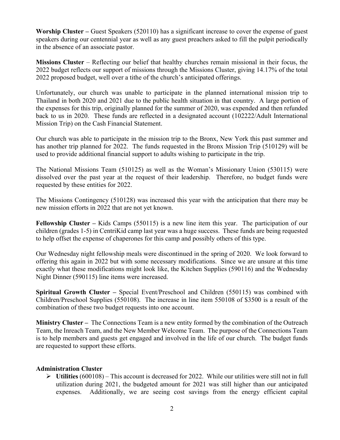**Worship Cluster –** Guest Speakers (520110) has a significant increase to cover the expense of guest speakers during our centennial year as well as any guest preachers asked to fill the pulpit periodically in the absence of an associate pastor.

**Missions Cluster** – Reflecting our belief that healthy churches remain missional in their focus, the 2022 budget reflects our support of missions through the Missions Cluster, giving 14.17% of the total 2022 proposed budget, well over a tithe of the church's anticipated offerings.

Unfortunately, our church was unable to participate in the planned international mission trip to Thailand in both 2020 and 2021 due to the public health situation in that country. A large portion of the expenses for this trip, originally planned for the summer of 2020, was expended and then refunded back to us in 2020. These funds are reflected in a designated account (102222/Adult International Mission Trip) on the Cash Financial Statement.

Our church was able to participate in the mission trip to the Bronx, New York this past summer and has another trip planned for 2022. The funds requested in the Bronx Mission Trip (510129) will be used to provide additional financial support to adults wishing to participate in the trip.

The National Missions Team (510125) as well as the Woman's Missionary Union (530115) were dissolved over the past year at the request of their leadership. Therefore, no budget funds were requested by these entities for 2022.

The Missions Contingency (510128) was increased this year with the anticipation that there may be new mission efforts in 2022 that are not yet known.

**Fellowship Cluster –** Kids Camps (550115) is a new line item this year. The participation of our children (grades 1-5) in CentriKid camp last year was a huge success. These funds are being requested to help offset the expense of chaperones for this camp and possibly others of this type.

Our Wednesday night fellowship meals were discontinued in the spring of 2020. We look forward to offering this again in 2022 but with some necessary modifications. Since we are unsure at this time exactly what these modifications might look like, the Kitchen Supplies (590116) and the Wednesday Night Dinner (590115) line items were increased.

**Spiritual Growth Cluster –** Special Event/Preschool and Children (550115) was combined with Children/Preschool Supplies (550108). The increase in line item 550108 of \$3500 is a result of the combination of these two budget requests into one account.

**Ministry Cluster –** The Connections Team is a new entity formed by the combination of the Outreach Team, the Inreach Team, and the New Member Welcome Team. The purpose of the Connections Team is to help members and guests get engaged and involved in the life of our church. The budget funds are requested to support these efforts.

#### **Administration Cluster**

 **Utilities** (600108) – This account is decreased for 2022. While our utilities were still not in full utilization during 2021, the budgeted amount for 2021 was still higher than our anticipated expenses. Additionally, we are seeing cost savings from the energy efficient capital